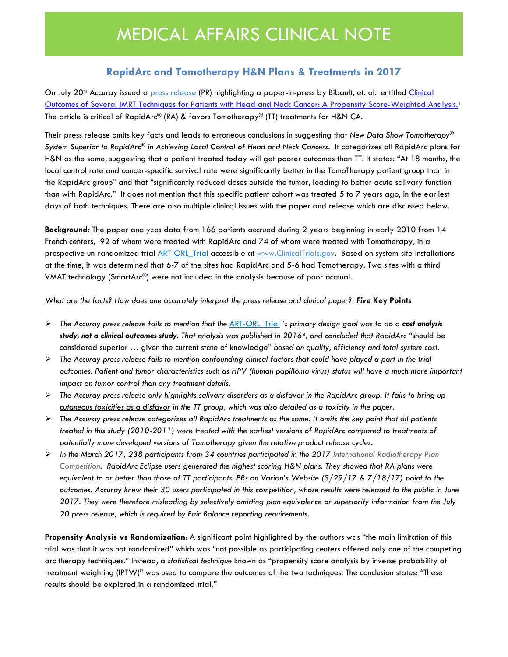## **RapidArc and Tomotherapy H&N Plans & Treatments in 2017**

On July 20<sup>th</sup> [Accuray issued a](http://investors.accuray.com/phoenix.zhtml?c=177244&p=irol-newsArticle&ID=2287607) [press release](http://investors.accuray.com/phoenix.zhtml?c=177244&p=irol-newsArticle&ID=2287607) (PR) highlighting a paper-in-press by Bibault, et. al. entitled [Clinical](https://www.ncbi.nlm.nih.gov/pubmed/28864403) Outcomes of Several IMRT Techniques for Patients with [Head and Neck Cancer: A Propensity Score-Weighted](https://www.ncbi.nlm.nih.gov/pubmed/28864403) Analysis.<sup>1</sup> The article is critical of RapidArc® (RA) & favors Tomotherapy® (TT) treatments for H&N CA.

Their press release omits key facts and leads to erroneous conclusions in suggesting that *New Data Show Tomotherapy® System Superior to RapidArc*® *in Achieving Local Control of Head and Neck Cancers*. It categorizes all RapidArc plans for H&N as the same, suggesting that a patient treated today will get poorer outcomes than TT. It states: "At 18 months, the local control rate and cancer-specific survival rate were significantly better in the TomoTherapy patient group than in the RapidArc group" and that "significantly reduced doses outside the tumor, leading to better acute salivary function than with RapidArc." It does not mention that this specific patient cohort was treated 5 to 7 years ago, in the earliest days of both techniques. There are also multiple clinical issues with the paper and release which are discussed below.

**Background:** The paper analyzes data from 166 patients accrued during 2 years beginning in early 2010 from 14 French centers, 92 of whom were treated with RapidArc and 74 of whom were treated with Tomotherapy, in a prospective un-randomized trial ART-ORL Trial accessible at [www.ClinicalTrials.gov.](http://www.clinicaltrials.gov/) Based on system-site installations at the time, it was determined that 6-7 of the sites had RapidArc and 5-6 had Tomotherapy. Two sites with a third VMAT technology (SmartArc®) were not included in the analysis because of poor accrual.

### *What are the facts? How does one accurately interpret the press release and clinical paper? Five* **Key Points**

- ➢ *The Accuray press release fails to mention that the* [ART-ORL\\_Trial](https://www.clinicaltrials.gov/ct2/show/NCT02024035?term=ART-orl&rank=1) *'s primary design goal was to do a cost analysis study, not a clinical outcomes study. That analysis was published in 20164, and concluded that RapidArc "*should be considered superior … given the current state of knowledge" *based on quality, efficiency and total system cost.*
- ➢ *The Accuray press release fails to mention confounding clinical factors that could have played a part in the trial outcomes. Patient and tumor characteristics such as HPV (human papilloma virus) status will have a much more important impact on tumor control than any treatment details.*
- ➢ *The Accuray press release only highlights salivary disorders as a disfavor in the RapidArc group. It fails to bring up cutaneous toxicities as a disfavor in the TT group, which was also detailed as a toxicity in the paper.*
- ➢ *The Accuray press release categorizes all RapidArc treatments as the same. It omits the key point that all patients treated in this study (2010-2011) were treated with the earliest versions of RapidArc compared to treatments of potentially more developed versions of Tomotherapy given the relative product release cycles.*
- ➢ *In the March 2017, 238 participants from 34 countries participated in the 2017 International Radiotherapy Plan Competition. RapidArc Eclipse users generated the highest scoring H&N plans. They showed that RA plans were equivalent to or better than those of TT participants. PRs on Varian's Website (3/29/17 & 7/18/17) point to the outcomes. Accuray knew their 30 users participated in this competition, whose results were released to the public in June 2017. They were therefore misleading by selectively omitting plan equivalence or superiority information from the July 20 press release, which is required by Fair Balance reporting requirements.*

**Propensity Analysis vs Randomization**: A significant point highlighted by the authors was "the main limitation of this trial was that it was not randomized" which was "not possible as participating centers offered only one of the competing arc therapy techniques." Instead, a *statistical technique* known as "propensity score analysis by inverse probability of treatment weighting (IPTW)" was used to compare the outcomes of the two techniques. The conclusion states: *"*These results should be explored in a randomized trial*."*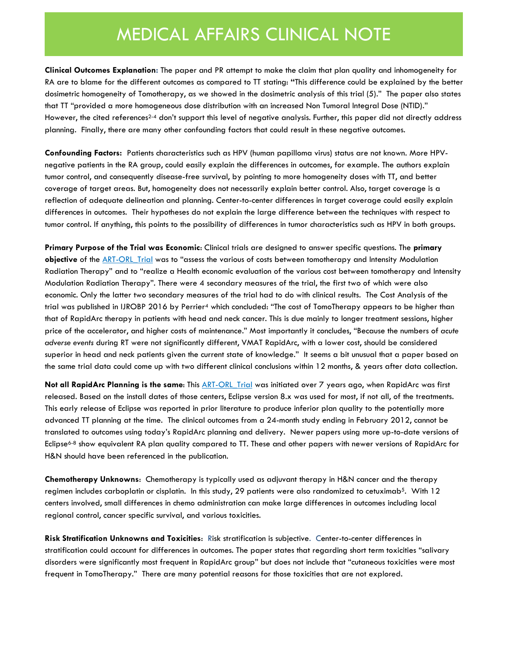# MEDICAL AFFAIRS CLINICAL NOTE

**Clinical Outcomes Explanation:** The paper and PR attempt to make the claim that plan quality and inhomogeneity for RA are to blame for the different outcomes as compared to TT stating: **"**This difference could be explained by the better dosimetric homogeneity of Tomotherapy, as we showed in the dosimetric analysis of this trial (5)." The paper also states that TT "provided a more homogeneous dose distribution with an increased Non Tumoral Integral Dose (NTID)." However, the cited references<sup>2-4</sup> don't support this level of negative analysis. Further, this paper did not directly address planning. Finally, there are many other confounding factors that could result in these negative outcomes.

**Confounding Factors:** Patients characteristics such as HPV (human papilloma virus) status are not known. More HPVnegative patients in the RA group, could easily explain the differences in outcomes, for example. The authors explain tumor control, and consequently disease-free survival, by pointing to more homogeneity doses with TT, and better coverage of target areas. But, homogeneity does not necessarily explain better control. Also, target coverage is a reflection of adequate delineation and planning. Center-to-center differences in target coverage could easily explain differences in outcomes. Their hypotheses do not explain the large difference between the techniques with respect to tumor control. If anything, this points to the possibility of differences in tumor characteristics such as HPV in both groups.

**Primary Purpose of the Trial was Economic**: Clinical trials are designed to answer specific questions. The **primary objective** of the ART-ORL Trial was to "assess the various of costs between tomotherapy and Intensity Modulation Radiation Therapy" and to "realize a Health economic evaluation of the various cost between tomotherapy and Intensity Modulation Radiation Therapy". There were 4 secondary measures of the trial, the first two of which were also economic. Only the latter two secondary measures of the trial had to do with clinical results. The Cost Analysis of the trial was published in IJROBP 2016 by Perrier<sup>4</sup> which concluded: "The cost of TomoTherapy appears to be higher than that of RapidArc therapy in patients with head and neck cancer. This is due mainly to longer treatment sessions, higher price of the accelerator, and higher costs of maintenance." Most importantly it concludes, "Because the numbers of *acute adverse events* during RT were not significantly different, VMAT RapidArc, with a lower cost, should be considered superior in head and neck patients given the current state of knowledge." It seems a bit unusual that a paper based on the same trial data could come up with two different clinical conclusions within 12 months, & years after data collection.

**Not all RapidArc Planning is the same**: This [ART-ORL\\_Trial](https://www.clinicaltrials.gov/ct2/show/NCT02024035?term=ART-orl&rank=1) was initiated over 7 years ago, when RapidArc was first released. Based on the install dates of those centers, Eclipse version 8.x was used for most, if not all, of the treatments. This early release of Eclipse was reported in prior literature to produce inferior plan quality to the potentially more advanced TT planning at the time. The clinical outcomes from a 24-month study ending in February 2012, cannot be translated to outcomes using today's RapidArc planning and delivery. Newer papers using more up-to-date versions of Eclipse<sup>6-8</sup> show equivalent RA plan quality compared to TT. These and other papers with newer versions of RapidArc for H&N should have been referenced in the publication.

**Chemotherapy Unknowns**: Chemotherapy is typically used as adjuvant therapy in H&N cancer and the therapy regimen includes carboplatin or cisplatin. In this study, 29 patients were also randomized to cetuximab<sup>5</sup>. With 12 centers involved, small differences in chemo administration can make large differences in outcomes including local regional control, cancer specific survival, and various toxicities.

**Risk Stratification Unknowns and Toxicities**: Risk stratification is subjective. Center-to-center differences in stratification could account for differences in outcomes. The paper states that regarding short term toxicities "salivary disorders were significantly most frequent in RapidArc group" but does not include that "cutaneous toxicities were most frequent in TomoTherapy." There are many potential reasons for those toxicities that are not explored.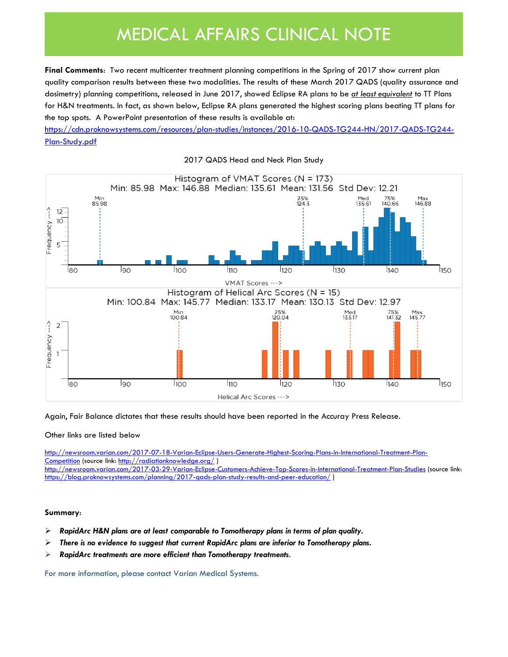# MEDICAL AFFAIRS CLINICAL NOTE

**Final Comments:** Two recent multicenter treatment planning competitions in the Spring of 2017 show current plan quality comparison results between these two modalities. The results of these March 2017 QADS (quality assurance and dosimetry) planning competitions, released in June 2017, showed Eclipse RA plans to be *at least equivalent* to TT Plans for H&N treatments. In fact, as shown below, Eclipse RA plans generated the highest scoring plans beating TT plans for the top spots. A PowerPoint presentation of these results is available at:

[https://cdn.proknowsystems.com/resources/plan-studies/instances/2016-10-QADS-TG244-HN/2017-QADS-TG244-](https://cdn.proknowsystems.com/resources/plan-studies/instances/2016-10-QADS-TG244-HN/2017-QADS-TG244-Plan-Study.pdf) [Plan-Study.pdf](https://cdn.proknowsystems.com/resources/plan-studies/instances/2016-10-QADS-TG244-HN/2017-QADS-TG244-Plan-Study.pdf)



2017 QADS Head and Neck Plan Study

Again, Fair Balance dictates that these results should have been reported in the Accuray Press Release.

#### Other links are listed below

[http://newsroom.varian.com/2017-07-18-Varian-Eclipse-Users-Generate-Highest-Scoring-Plans-in-International-Treatment-Plan-](http://newsroom.varian.com/2017-07-18-Varian-Eclipse-Users-Generate-Highest-Scoring-Plans-in-International-Treatment-Plan-Competition)[Competition](http://newsroom.varian.com/2017-07-18-Varian-Eclipse-Users-Generate-Highest-Scoring-Plans-in-International-Treatment-Plan-Competition) (source link:<http://radiationknowledge.org/>) <http://newsroom.varian.com/2017-03-29-Varian-Eclipse-Customers-Achieve-Top-Scores-in-International-Treatment-Plan-Studies> (source link: <https://blog.proknowsystems.com/planning/2017-qads-plan-study-results-and-peer-education/> )

### **Summary**:

- ➢ *RapidArc H&N plans are at least comparable to Tomotherapy plans in terms of plan quality.*
- ➢ *There is no evidence to suggest that current RapidArc plans are inferior to Tomotherapy plans.*
- ➢ *RapidArc treatments are more efficient than Tomotherapy treatments.*

For more information, please contact Varian Medical Systems.